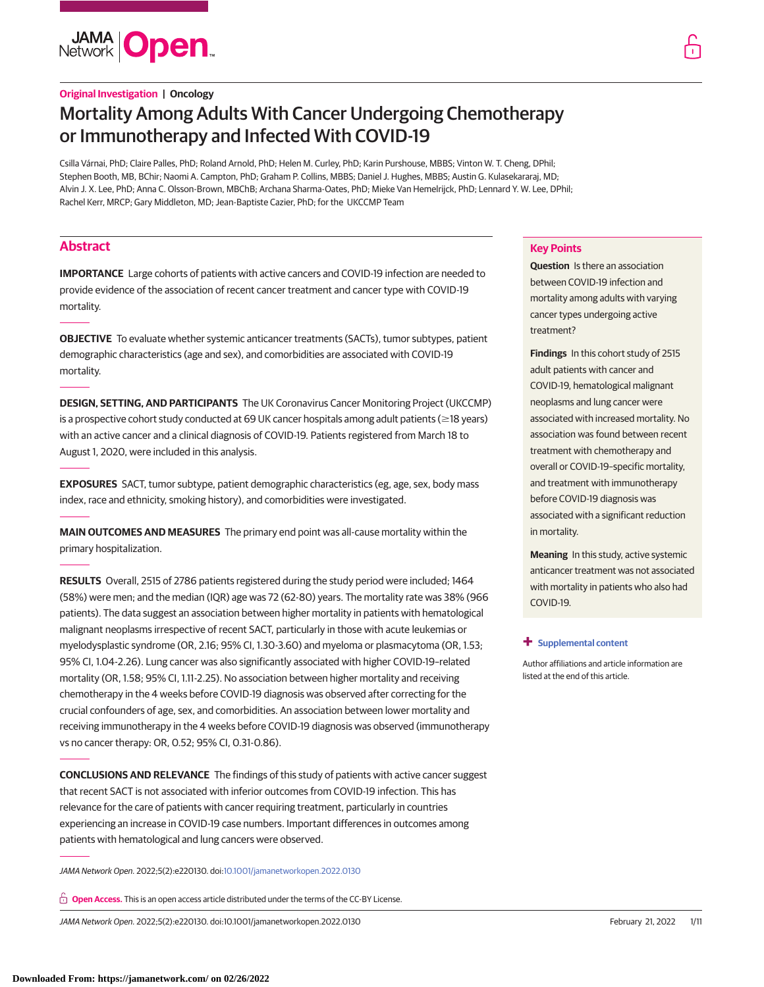**JAMA Open** 

# **Original Investigation | Oncology**

# Mortality Among Adults With Cancer Undergoing Chemotherapy or Immunotherapy and Infected With COVID-19

Csilla Várnai, PhD; Claire Palles, PhD; Roland Arnold, PhD; Helen M. Curley, PhD; Karin Purshouse, MBBS; Vinton W. T. Cheng, DPhil; Stephen Booth, MB, BChir; Naomi A. Campton, PhD; Graham P. Collins, MBBS; Daniel J. Hughes, MBBS; Austin G. Kulasekararaj, MD; Alvin J. X. Lee, PhD; Anna C. Olsson-Brown, MBChB; Archana Sharma-Oates, PhD; Mieke Van Hemelrijck, PhD; Lennard Y. W. Lee, DPhil; Rachel Kerr, MRCP; Gary Middleton, MD; Jean-Baptiste Cazier, PhD; for the UKCCMP Team

# **Abstract**

**IMPORTANCE** Large cohorts of patients with active cancers and COVID-19 infection are needed to provide evidence of the association of recent cancer treatment and cancer type with COVID-19 mortality.

**OBJECTIVE** To evaluate whether systemic anticancer treatments (SACTs), tumor subtypes, patient demographic characteristics (age and sex), and comorbidities are associated with COVID-19 mortality.

**DESIGN, SETTING, AND PARTICIPANTS** The UK Coronavirus Cancer Monitoring Project (UKCCMP) is a prospective cohort study conducted at 69 UK cancer hospitals among adult patients ( $\geq$ 18 years) with an active cancer and a clinical diagnosis of COVID-19. Patients registered from March 18 to August 1, 2020, were included in this analysis.

**EXPOSURES** SACT, tumor subtype, patient demographic characteristics (eg, age, sex, body mass index, race and ethnicity, smoking history), and comorbidities were investigated.

**MAIN OUTCOMES AND MEASURES** The primary end point was all-cause mortality within the primary hospitalization.

**RESULTS** Overall, 2515 of 2786 patients registered during the study period were included; 1464 (58%) were men; and the median (IQR) age was 72 (62-80) years. The mortality rate was 38% (966 patients). The data suggest an association between higher mortality in patients with hematological malignant neoplasms irrespective of recent SACT, particularly in those with acute leukemias or myelodysplastic syndrome (OR, 2.16; 95% CI, 1.30-3.60) and myeloma or plasmacytoma (OR, 1.53; 95% CI, 1.04-2.26). Lung cancer was also significantly associated with higher COVID-19–related mortality (OR, 1.58; 95% CI, 1.11-2.25). No association between higher mortality and receiving chemotherapy in the 4 weeks before COVID-19 diagnosis was observed after correcting for the crucial confounders of age, sex, and comorbidities. An association between lower mortality and receiving immunotherapy in the 4 weeks before COVID-19 diagnosis was observed (immunotherapy vs no cancer therapy: OR, 0.52; 95% CI, 0.31-0.86).

**CONCLUSIONS AND RELEVANCE** The findings of this study of patients with active cancer suggest that recent SACT is not associated with inferior outcomes from COVID-19 infection. This has relevance for the care of patients with cancer requiring treatment, particularly in countries experiencing an increase in COVID-19 case numbers. Important differences in outcomes among patients with hematological and lung cancers were observed.

JAMA Network Open. 2022;5(2):e220130. doi[:10.1001/jamanetworkopen.2022.0130](https://jama.jamanetwork.com/article.aspx?doi=10.1001/jamanetworkopen.2022.0130&utm_campaign=articlePDF%26utm_medium=articlePDFlink%26utm_source=articlePDF%26utm_content=jamanetworkopen.2022.0130)

**Open Access.** This is an open access article distributed under the terms of the CC-BY License.

JAMA Network Open. 2022;5(2):e220130. doi:10.1001/jamanetworkopen.2022.0130 (Reprinted) February 21, 2022 1/11



**Question** Is there an association between COVID-19 infection and mortality among adults with varying cancer types undergoing active treatment?

**Findings** In this cohort study of 2515 adult patients with cancer and COVID-19, hematological malignant neoplasms and lung cancer were associated with increased mortality. No association was found between recent treatment with chemotherapy and overall or COVID-19–specific mortality, and treatment with immunotherapy before COVID-19 diagnosis was associated with a significant reduction in mortality.

**Meaning** In this study, active systemic anticancer treatment was not associated with mortality in patients who also had COVID-19.

### **+ [Supplemental content](https://jama.jamanetwork.com/article.aspx?doi=10.1001/jamanetworkopen.2022.0130&utm_campaign=articlePDF%26utm_medium=articlePDFlink%26utm_source=articlePDF%26utm_content=jamanetworkopen.2022.0130)**

Author affiliations and article information are listed at the end of this article.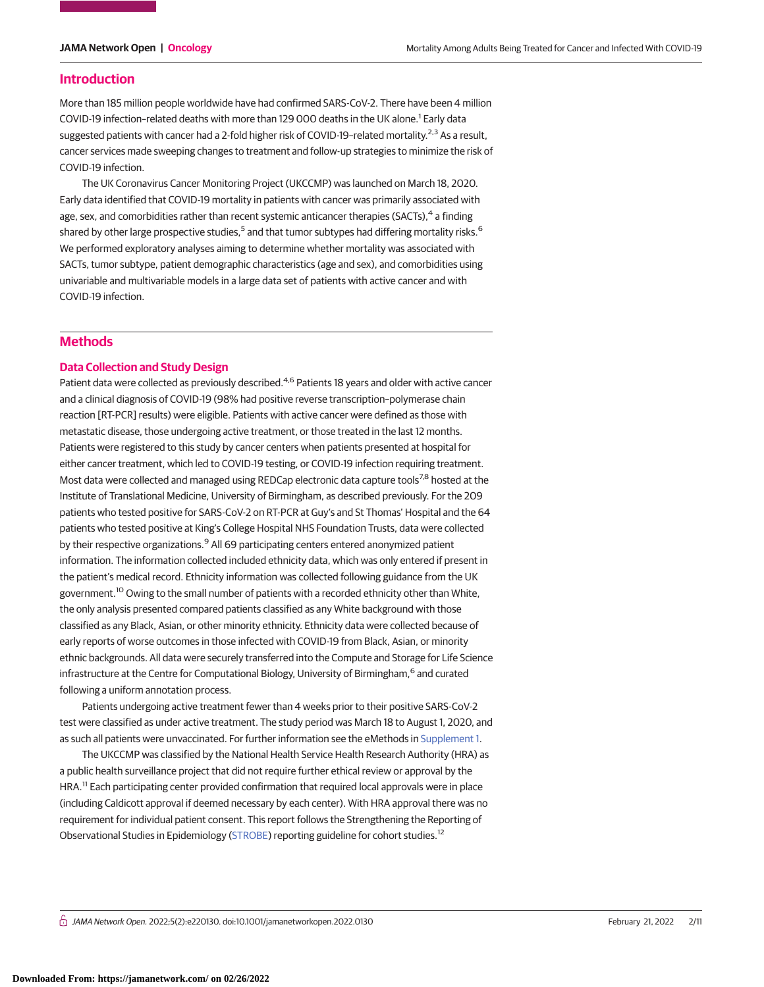### **Introduction**

More than 185 million people worldwide have had confirmed SARS-CoV-2. There have been 4 million COVID-19 infection-related deaths with more than 129 000 deaths in the UK alone.<sup>1</sup> Early data suggested patients with cancer had a 2-fold higher risk of COVID-19-related mortality.<sup>2,3</sup> As a result, cancer services made sweeping changes to treatment and follow-up strategies to minimize the risk of COVID-19 infection.

The UK Coronavirus Cancer Monitoring Project (UKCCMP) was launched on March 18, 2020. Early data identified that COVID-19 mortality in patients with cancer was primarily associated with age, sex, and comorbidities rather than recent systemic anticancer therapies (SACTs),<sup>4</sup> a finding shared by other large prospective studies,<sup>5</sup> and that tumor subtypes had differing mortality risks.<sup>6</sup> We performed exploratory analyses aiming to determine whether mortality was associated with SACTs, tumor subtype, patient demographic characteristics (age and sex), and comorbidities using univariable and multivariable models in a large data set of patients with active cancer and with COVID-19 infection.

# **Methods**

### **Data Collection and Study Design**

Patient data were collected as previously described.<sup>4,6</sup> Patients 18 years and older with active cancer and a clinical diagnosis of COVID-19 (98% had positive reverse transcription–polymerase chain reaction [RT-PCR] results) were eligible. Patients with active cancer were defined as those with metastatic disease, those undergoing active treatment, or those treated in the last 12 months. Patients were registered to this study by cancer centers when patients presented at hospital for either cancer treatment, which led to COVID-19 testing, or COVID-19 infection requiring treatment. Most data were collected and managed using REDCap electronic data capture tools<sup>7,8</sup> hosted at the Institute of Translational Medicine, University of Birmingham, as described previously. For the 209 patients who tested positive for SARS-CoV-2 on RT-PCR at Guy's and St Thomas' Hospital and the 64 patients who tested positive at King's College Hospital NHS Foundation Trusts, data were collected by their respective organizations.<sup>9</sup> All 69 participating centers entered anonymized patient information. The information collected included ethnicity data, which was only entered if present in the patient's medical record. Ethnicity information was collected following guidance from the UK government.<sup>10</sup> Owing to the small number of patients with a recorded ethnicity other than White, the only analysis presented compared patients classified as any White background with those classified as any Black, Asian, or other minority ethnicity. Ethnicity data were collected because of early reports of worse outcomes in those infected with COVID-19 from Black, Asian, or minority ethnic backgrounds. All data were securely transferred into the Compute and Storage for Life Science infrastructure at the Centre for Computational Biology, University of Birmingham,<sup>6</sup> and curated following a uniform annotation process.

Patients undergoing active treatment fewer than 4 weeks prior to their positive SARS-CoV-2 test were classified as under active treatment. The study period was March 18 to August 1, 2020, and as such all patients were unvaccinated. For further information see the eMethods in [Supplement 1.](https://jama.jamanetwork.com/article.aspx?doi=10.1001/jamanetworkopen.2022.0130&utm_campaign=articlePDF%26utm_medium=articlePDFlink%26utm_source=articlePDF%26utm_content=jamanetworkopen.2022.0130)

The UKCCMP was classified by the National Health Service Health Research Authority (HRA) as a public health surveillance project that did not require further ethical review or approval by the HRA.<sup>11</sup> Each participating center provided confirmation that required local approvals were in place (including Caldicott approval if deemed necessary by each center). With HRA approval there was no requirement for individual patient consent. This report follows the Strengthening the Reporting of Observational Studies in Epidemiology [\(STROBE\)](http://www.equator-network.org/reporting-guidelines/strobe/) reporting guideline for cohort studies.12

 $\stackrel{\frown}{\cap}$  JAMA Network Open. 2022;5(2):e220130. doi:10.1001/jamanetworkopen.2022.0130 (Reprinted) February 21, 2022 2/11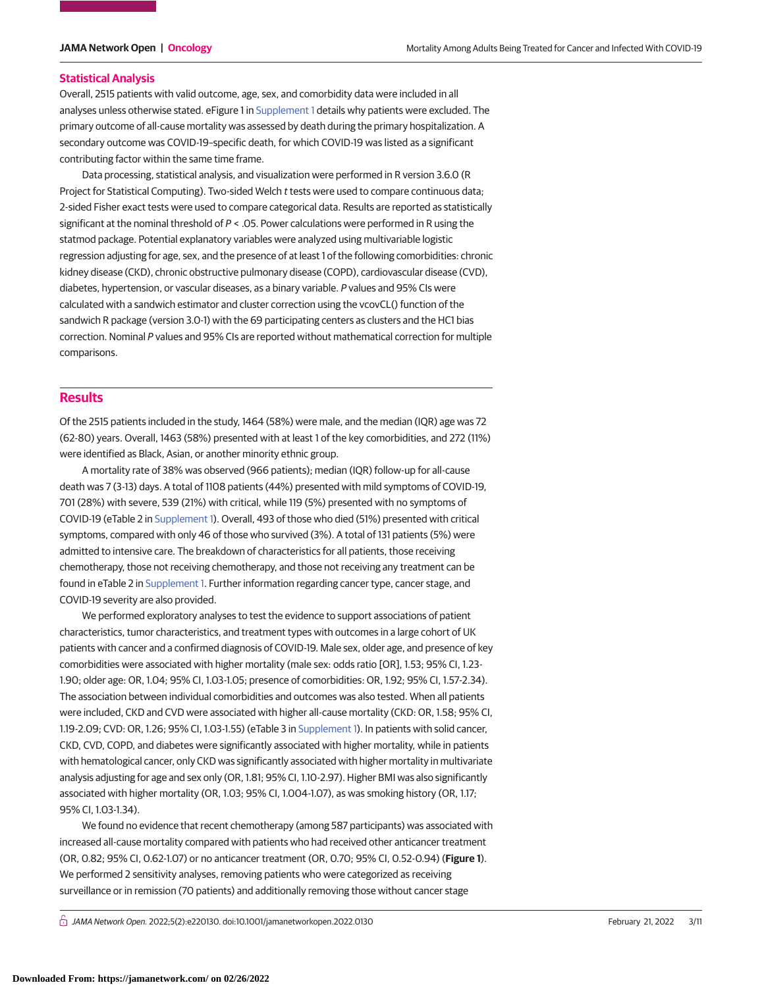#### **Statistical Analysis**

Overall, 2515 patients with valid outcome, age, sex, and comorbidity data were included in all analyses unless otherwise stated. eFigure 1 in [Supplement 1](https://jama.jamanetwork.com/article.aspx?doi=10.1001/jamanetworkopen.2022.0130&utm_campaign=articlePDF%26utm_medium=articlePDFlink%26utm_source=articlePDF%26utm_content=jamanetworkopen.2022.0130) details why patients were excluded. The primary outcome of all-cause mortality was assessed by death during the primary hospitalization. A secondary outcome was COVID-19–specific death, for which COVID-19 was listed as a significant contributing factor within the same time frame.

Data processing, statistical analysis, and visualization were performed in R version 3.6.0 (R Project for Statistical Computing). Two-sided Welch t tests were used to compare continuous data; 2-sided Fisher exact tests were used to compare categorical data. Results are reported as statistically significant at the nominal threshold of  $P <$  .05. Power calculations were performed in R using the statmod package. Potential explanatory variables were analyzed using multivariable logistic regression adjusting for age, sex, and the presence of at least 1 of the following comorbidities: chronic kidney disease (CKD), chronic obstructive pulmonary disease (COPD), cardiovascular disease (CVD), diabetes, hypertension, or vascular diseases, as a binary variable. P values and 95% CIs were calculated with a sandwich estimator and cluster correction using the vcovCL() function of the sandwich R package (version 3.0-1) with the 69 participating centers as clusters and the HC1 bias correction. Nominal P values and 95% CIs are reported without mathematical correction for multiple comparisons.

## **Results**

Of the 2515 patients included in the study, 1464 (58%) were male, and the median (IQR) age was 72 (62-80) years. Overall, 1463 (58%) presented with at least 1 of the key comorbidities, and 272 (11%) were identified as Black, Asian, or another minority ethnic group.

A mortality rate of 38% was observed (966 patients); median (IQR) follow-up for all-cause death was 7 (3-13) days. A total of 1108 patients (44%) presented with mild symptoms of COVID-19, 701 (28%) with severe, 539 (21%) with critical, while 119 (5%) presented with no symptoms of COVID-19 (eTable 2 in [Supplement 1\)](https://jama.jamanetwork.com/article.aspx?doi=10.1001/jamanetworkopen.2022.0130&utm_campaign=articlePDF%26utm_medium=articlePDFlink%26utm_source=articlePDF%26utm_content=jamanetworkopen.2022.0130). Overall, 493 of those who died (51%) presented with critical symptoms, compared with only 46 of those who survived (3%). A total of 131 patients (5%) were admitted to intensive care. The breakdown of characteristics for all patients, those receiving chemotherapy, those not receiving chemotherapy, and those not receiving any treatment can be found in eTable 2 in [Supplement 1.](https://jama.jamanetwork.com/article.aspx?doi=10.1001/jamanetworkopen.2022.0130&utm_campaign=articlePDF%26utm_medium=articlePDFlink%26utm_source=articlePDF%26utm_content=jamanetworkopen.2022.0130) Further information regarding cancer type, cancer stage, and COVID-19 severity are also provided.

We performed exploratory analyses to test the evidence to support associations of patient characteristics, tumor characteristics, and treatment types with outcomes in a large cohort of UK patients with cancer and a confirmed diagnosis of COVID-19. Male sex, older age, and presence of key comorbidities were associated with higher mortality (male sex: odds ratio [OR], 1.53; 95% CI, 1.23- 1.90; older age: OR, 1.04; 95% CI, 1.03-1.05; presence of comorbidities: OR, 1.92; 95% CI, 1.57-2.34). The association between individual comorbidities and outcomes was also tested. When all patients were included, CKD and CVD were associated with higher all-cause mortality (CKD: OR, 1.58; 95% CI, 1.19-2.09; CVD: OR, 1.26; 95% CI, 1.03-1.55) (eTable 3 in [Supplement 1\)](https://jama.jamanetwork.com/article.aspx?doi=10.1001/jamanetworkopen.2022.0130&utm_campaign=articlePDF%26utm_medium=articlePDFlink%26utm_source=articlePDF%26utm_content=jamanetworkopen.2022.0130). In patients with solid cancer, CKD, CVD, COPD, and diabetes were significantly associated with higher mortality, while in patients with hematological cancer, only CKD was significantly associated with higher mortality in multivariate analysis adjusting for age and sex only (OR, 1.81; 95% CI, 1.10-2.97). Higher BMI was also significantly associated with higher mortality (OR, 1.03; 95% CI, 1.004-1.07), as was smoking history (OR, 1.17; 95% CI, 1.03-1.34).

We found no evidence that recent chemotherapy (among 587 participants) was associated with increased all-cause mortality compared with patients who had received other anticancer treatment (OR, 0.82; 95% CI, 0.62-1.07) or no anticancer treatment (OR, 0.70; 95% CI, 0.52-0.94) (**Figure 1**). We performed 2 sensitivity analyses, removing patients who were categorized as receiving surveillance or in remission (70 patients) and additionally removing those without cancer stage

 $\bigcap$  JAMA Network Open. 2022;5(2):e220130. doi:10.1001/jamanetworkopen.2022.0130 (Reprinted) February 21, 2022 3/11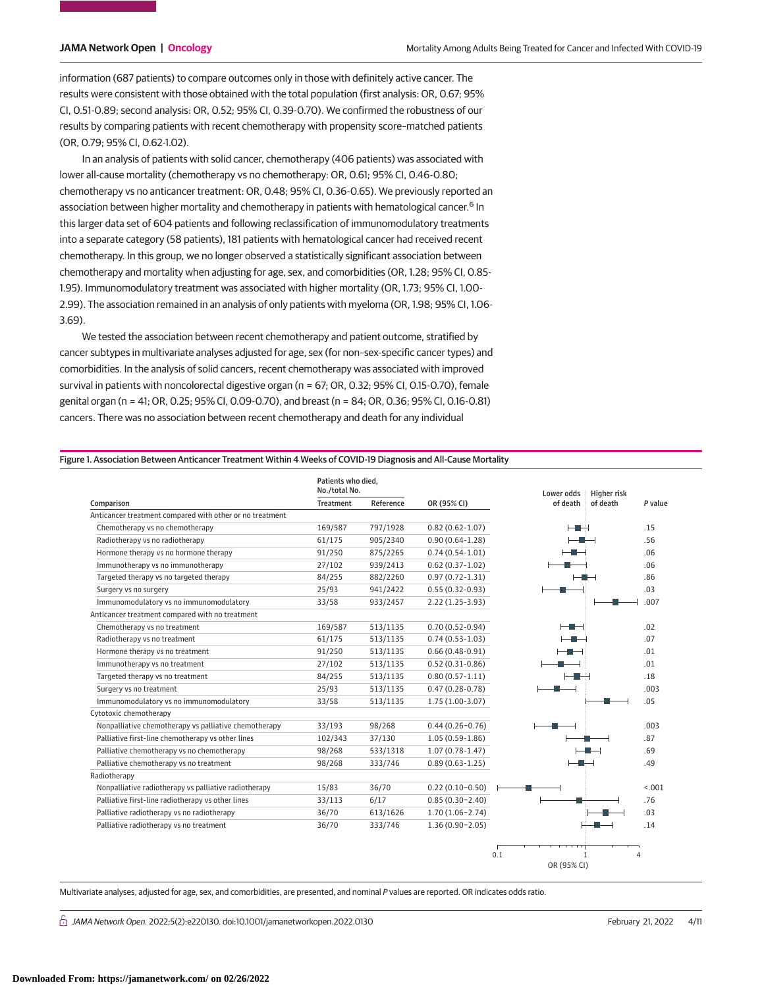information (687 patients) to compare outcomes only in those with definitely active cancer. The results were consistent with those obtained with the total population (first analysis: OR, 0.67; 95% CI, 0.51-0.89; second analysis: OR, 0.52; 95% CI, 0.39-0.70). We confirmed the robustness of our results by comparing patients with recent chemotherapy with propensity score–matched patients (OR, 0.79; 95% CI, 0.62-1.02).

In an analysis of patients with solid cancer, chemotherapy (406 patients) was associated with lower all-cause mortality (chemotherapy vs no chemotherapy: OR, 0.61; 95% CI, 0.46-0.80; chemotherapy vs no anticancer treatment: OR, 0.48; 95% CI, 0.36-0.65). We previously reported an association between higher mortality and chemotherapy in patients with hematological cancer.<sup>6</sup> In this larger data set of 604 patients and following reclassification of immunomodulatory treatments into a separate category (58 patients), 181 patients with hematological cancer had received recent chemotherapy. In this group, we no longer observed a statistically significant association between chemotherapy and mortality when adjusting for age, sex, and comorbidities (OR, 1.28; 95% CI, 0.85- 1.95). Immunomodulatory treatment was associated with higher mortality (OR, 1.73; 95% CI, 1.00- 2.99). The association remained in an analysis of only patients with myeloma (OR, 1.98; 95% CI, 1.06- 3.69).

We tested the association between recent chemotherapy and patient outcome, stratified by cancer subtypes in multivariate analyses adjusted for age, sex (for non–sex-specific cancer types) and comorbidities. In the analysis of solid cancers, recent chemotherapy was associated with improved survival in patients with noncolorectal digestive organ (n = 67; OR, 0.32; 95% CI, 0.15-0.70), female genital organ (n = 41; OR, 0.25; 95% CI, 0.09-0.70), and breast (n = 84; OR, 0.36; 95% CI, 0.16-0.81) cancers. There was no association between recent chemotherapy and death for any individual

#### Figure 1. Association Between Anticancer Treatment Within 4 Weeks of COVID-19 Diagnosis and All-Cause Mortality

|                                                          | Patients who died,<br>No./total No. |           |                     | Lower odds  | <b>Higher risk</b>  |
|----------------------------------------------------------|-------------------------------------|-----------|---------------------|-------------|---------------------|
| Comparison                                               | <b>Treatment</b>                    | Reference | OR (95% CI)         | of death    | of death<br>P value |
| Anticancer treatment compared with other or no treatment |                                     |           |                     |             |                     |
| Chemotherapy vs no chemotherapy                          | 169/587                             | 797/1928  | $0.82(0.62 - 1.07)$ | ⊢∎⊣         | .15                 |
| Radiotherapy vs no radiotherapy                          | 61/175                              | 905/2340  | $0.90(0.64-1.28)$   |             | .56                 |
| Hormone therapy vs no hormone therapy                    | 91/250                              | 875/2265  | $0.74(0.54-1.01)$   |             | .06                 |
| Immunotherapy vs no immunotherapy                        | 27/102                              | 939/2413  | $0.62(0.37-1.02)$   |             | .06                 |
| Targeted therapy vs no targeted therapy                  | 84/255                              | 882/2260  | $0.97(0.72 - 1.31)$ |             | .86                 |
| Surgery vs no surgery                                    | 25/93                               | 941/2422  | $0.55(0.32-0.93)$   |             | .03                 |
| Immunomodulatory vs no immunomodulatory                  | 33/58                               | 933/2457  | $2.22(1.25-3.93)$   |             | .007                |
| Anticancer treatment compared with no treatment          |                                     |           |                     |             |                     |
| Chemotherapy vs no treatment                             | 169/587                             | 513/1135  | $0.70(0.52 - 0.94)$ | ز دی د      | .02                 |
| Radiotherapy vs no treatment                             | 61/175                              | 513/1135  | $0.74(0.53 - 1.03)$ |             | .07                 |
| Hormone therapy vs no treatment                          | 91/250                              | 513/1135  | $0.66(0.48-0.91)$   |             | .01                 |
| Immunotherapy vs no treatment                            | 27/102                              | 513/1135  | $0.52(0.31-0.86)$   |             | .01                 |
| Targeted therapy vs no treatment                         | 84/255                              | 513/1135  | $0.80(0.57 - 1.11)$ |             | .18                 |
| Surgery vs no treatment                                  | 25/93                               | 513/1135  | $0.47(0.28-0.78)$   |             | .003                |
| Immunomodulatory vs no immunomodulatory                  | 33/58                               | 513/1135  | $1.75(1.00-3.07)$   |             | .05                 |
| Cytotoxic chemotherapy                                   |                                     |           |                     |             |                     |
| Nonpalliative chemotherapy vs palliative chemotherapy    | 33/193                              | 98/268    | $0.44(0.26 - 0.76)$ |             | .003                |
| Palliative first-line chemotherapy vs other lines        | 102/343                             | 37/130    | $1.05(0.59-1.86)$   |             | .87                 |
| Palliative chemotherapy vs no chemotherapy               | 98/268                              | 533/1318  | $1.07(0.78-1.47)$   |             | .69                 |
| Palliative chemotherapy vs no treatment                  | 98/268                              | 333/746   | $0.89(0.63 - 1.25)$ |             | .49                 |
| Radiotherapy                                             |                                     |           |                     |             |                     |
| Nonpalliative radiotherapy vs palliative radiotherapy    | 15/83                               | 36/70     | $0.22(0.10-0.50)$   |             | < .001              |
| Palliative first-line radiotherapy vs other lines        | 33/113                              | 6/17      | $0.85(0.30-2.40)$   |             | .76                 |
| Palliative radiotherapy vs no radiotherapy               | 36/70                               | 613/1626  | $1.70(1.06 - 2.74)$ |             | .03                 |
| Palliative radiotherapy vs no treatment                  | 36/70                               | 333/746   | $1.36(0.90-2.05)$   |             | .14                 |
|                                                          |                                     |           |                     | 0.1         |                     |
|                                                          |                                     |           |                     | OR (95% CI) |                     |

Multivariate analyses, adjusted for age, sex, and comorbidities, are presented, and nominal P values are reported. OR indicates odds ratio.

 $\bigcap$  JAMA Network Open. 2022;5(2):e220130. doi:10.1001/jamanetworkopen.2022.0130 (Reprinted) February 21, 2022 4/11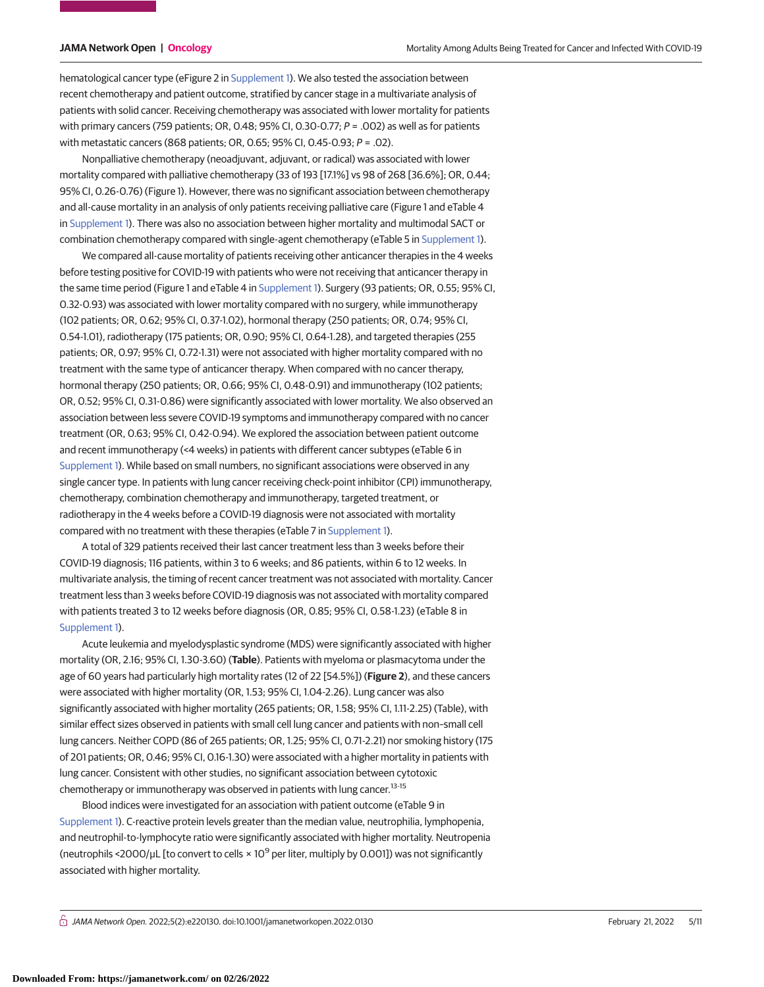hematological cancer type (eFigure 2 in [Supplement 1\)](https://jama.jamanetwork.com/article.aspx?doi=10.1001/jamanetworkopen.2022.0130&utm_campaign=articlePDF%26utm_medium=articlePDFlink%26utm_source=articlePDF%26utm_content=jamanetworkopen.2022.0130). We also tested the association between recent chemotherapy and patient outcome, stratified by cancer stage in a multivariate analysis of patients with solid cancer. Receiving chemotherapy was associated with lower mortality for patients with primary cancers (759 patients; OR, 0.48; 95% CI, 0.30-0.77; P = .002) as well as for patients with metastatic cancers (868 patients; OR, 0.65; 95% CI, 0.45-0.93; P = .02).

Nonpalliative chemotherapy (neoadjuvant, adjuvant, or radical) was associated with lower mortality compared with palliative chemotherapy (33 of 193 [17.1%] vs 98 of 268 [36.6%]; OR, 0.44; 95% CI, 0.26-0.76) (Figure 1). However, there was no significant association between chemotherapy and all-cause mortality in an analysis of only patients receiving palliative care (Figure 1 and eTable 4 in [Supplement 1\)](https://jama.jamanetwork.com/article.aspx?doi=10.1001/jamanetworkopen.2022.0130&utm_campaign=articlePDF%26utm_medium=articlePDFlink%26utm_source=articlePDF%26utm_content=jamanetworkopen.2022.0130). There was also no association between higher mortality and multimodal SACT or combination chemotherapy compared with single-agent chemotherapy (eTable 5 in [Supplement 1\)](https://jama.jamanetwork.com/article.aspx?doi=10.1001/jamanetworkopen.2022.0130&utm_campaign=articlePDF%26utm_medium=articlePDFlink%26utm_source=articlePDF%26utm_content=jamanetworkopen.2022.0130).

We compared all-cause mortality of patients receiving other anticancer therapies in the 4 weeks before testing positive for COVID-19 with patients who were not receiving that anticancer therapy in the same time period (Figure 1 and eTable 4 in [Supplement 1\)](https://jama.jamanetwork.com/article.aspx?doi=10.1001/jamanetworkopen.2022.0130&utm_campaign=articlePDF%26utm_medium=articlePDFlink%26utm_source=articlePDF%26utm_content=jamanetworkopen.2022.0130). Surgery (93 patients; OR, 0.55; 95% CI, 0.32-0.93) was associated with lower mortality compared with no surgery, while immunotherapy (102 patients; OR, 0.62; 95% CI, 0.37-1.02), hormonal therapy (250 patients; OR, 0.74; 95% CI, 0.54-1.01), radiotherapy (175 patients; OR, 0.90; 95% CI, 0.64-1.28), and targeted therapies (255 patients; OR, 0.97; 95% CI, 0.72-1.31) were not associated with higher mortality compared with no treatment with the same type of anticancer therapy. When compared with no cancer therapy, hormonal therapy (250 patients; OR, 0.66; 95% CI, 0.48-0.91) and immunotherapy (102 patients; OR, 0.52; 95% CI, 0.31-0.86) were significantly associated with lower mortality. We also observed an association between less severe COVID-19 symptoms and immunotherapy compared with no cancer treatment (OR, 0.63; 95% CI, 0.42-0.94). We explored the association between patient outcome and recent immunotherapy (<4 weeks) in patients with different cancer subtypes (eTable 6 in [Supplement 1\)](https://jama.jamanetwork.com/article.aspx?doi=10.1001/jamanetworkopen.2022.0130&utm_campaign=articlePDF%26utm_medium=articlePDFlink%26utm_source=articlePDF%26utm_content=jamanetworkopen.2022.0130). While based on small numbers, no significant associations were observed in any single cancer type. In patients with lung cancer receiving check-point inhibitor (CPI) immunotherapy, chemotherapy, combination chemotherapy and immunotherapy, targeted treatment, or radiotherapy in the 4 weeks before a COVID-19 diagnosis were not associated with mortality compared with no treatment with these therapies (eTable 7 in [Supplement 1\)](https://jama.jamanetwork.com/article.aspx?doi=10.1001/jamanetworkopen.2022.0130&utm_campaign=articlePDF%26utm_medium=articlePDFlink%26utm_source=articlePDF%26utm_content=jamanetworkopen.2022.0130).

A total of 329 patients received their last cancer treatment less than 3 weeks before their COVID-19 diagnosis; 116 patients, within 3 to 6 weeks; and 86 patients, within 6 to 12 weeks. In multivariate analysis, the timing of recent cancer treatment was not associated with mortality. Cancer treatment less than 3 weeks before COVID-19 diagnosis was not associated with mortality compared with patients treated 3 to 12 weeks before diagnosis (OR, 0.85; 95% CI, 0.58-1.23) (eTable 8 in [Supplement 1\)](https://jama.jamanetwork.com/article.aspx?doi=10.1001/jamanetworkopen.2022.0130&utm_campaign=articlePDF%26utm_medium=articlePDFlink%26utm_source=articlePDF%26utm_content=jamanetworkopen.2022.0130).

Acute leukemia and myelodysplastic syndrome (MDS) were significantly associated with higher mortality (OR, 2.16; 95% CI, 1.30-3.60) (**Table**). Patients with myeloma or plasmacytoma under the age of 60 years had particularly high mortality rates (12 of 22 [54.5%]) (**Figure 2**), and these cancers were associated with higher mortality (OR, 1.53; 95% CI, 1.04-2.26). Lung cancer was also significantly associated with higher mortality (265 patients; OR, 1.58; 95% CI, 1.11-2.25) (Table), with similar effect sizes observed in patients with small cell lung cancer and patients with non–small cell lung cancers. Neither COPD (86 of 265 patients; OR, 1.25; 95% CI, 0.71-2.21) nor smoking history (175 of 201 patients; OR, 0.46; 95% CI, 0.16-1.30) were associated with a higher mortality in patients with lung cancer. Consistent with other studies, no significant association between cytotoxic chemotherapy or immunotherapy was observed in patients with lung cancer.13-15

Blood indices were investigated for an association with patient outcome (eTable 9 in [Supplement 1\)](https://jama.jamanetwork.com/article.aspx?doi=10.1001/jamanetworkopen.2022.0130&utm_campaign=articlePDF%26utm_medium=articlePDFlink%26utm_source=articlePDF%26utm_content=jamanetworkopen.2022.0130). C-reactive protein levels greater than the median value, neutrophilia, lymphopenia, and neutrophil-to-lymphocyte ratio were significantly associated with higher mortality. Neutropenia (neutrophils <2000/µL [to convert to cells  $\times$  10<sup>9</sup> per liter, multiply by 0.001]) was not significantly associated with higher mortality.

 $\bigcap$  JAMA Network Open. 2022;5(2):e220130. doi:10.1001/jamanetworkopen.2022.0130 (Reprinted) February 21, 2022 5/11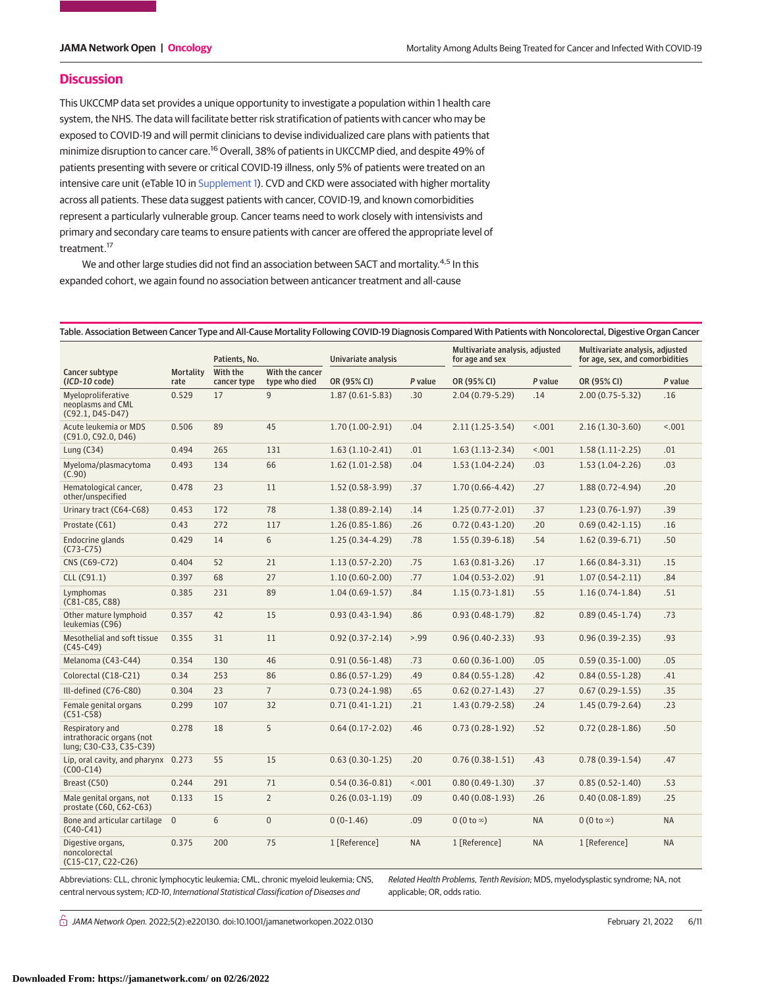## **Discussion**

This UKCCMP data set provides a unique opportunity to investigate a population within 1 health care system, the NHS. The data will facilitate better risk stratification of patients with cancer who may be exposed to COVID-19 and will permit clinicians to devise individualized care plans with patients that minimize disruption to cancer care.<sup>16</sup> Overall, 38% of patients in UKCCMP died, and despite 49% of patients presenting with severe or critical COVID-19 illness, only 5% of patients were treated on an intensive care unit (eTable 10 in [Supplement 1\)](https://jama.jamanetwork.com/article.aspx?doi=10.1001/jamanetworkopen.2022.0130&utm_campaign=articlePDF%26utm_medium=articlePDFlink%26utm_source=articlePDF%26utm_content=jamanetworkopen.2022.0130). CVD and CKD were associated with higher mortality across all patients. These data suggest patients with cancer, COVID-19, and known comorbidities represent a particularly vulnerable group. Cancer teams need to work closely with intensivists and primary and secondary care teams to ensure patients with cancer are offered the appropriate level of treatment.<sup>17</sup>

We and other large studies did not find an association between SACT and mortality.<sup>4,5</sup> In this expanded cohort, we again found no association between anticancer treatment and all-cause

|                                                                         | <b>Mortality</b><br>rate | Patients, No.           |                                  | Univariate analysis |           | Multivariate analysis, adjusted<br>for age and sex |           | Multivariate analysis, adjusted<br>for age, sex, and comorbidities |           |
|-------------------------------------------------------------------------|--------------------------|-------------------------|----------------------------------|---------------------|-----------|----------------------------------------------------|-----------|--------------------------------------------------------------------|-----------|
| Cancer subtype<br>$(ICD-10 code)$                                       |                          | With the<br>cancer type | With the cancer<br>type who died | OR (95% CI)         | P value   | OR (95% CI)                                        | P value   | OR (95% CI)                                                        | P value   |
| Myeloproliferative<br>neoplasms and CML<br>$(C92.1, D45-D47)$           | 0.529                    | 17                      | $\overline{9}$                   | $1.87(0.61 - 5.83)$ | .30       | $2.04(0.79 - 5.29)$                                | .14       | $2.00(0.75 - 5.32)$                                                | .16       |
| Acute leukemia or MDS<br>(C91.0, C92.0, D46)                            | 0.506                    | 89                      | 45                               | $1.70(1.00-2.91)$   | .04       | $2.11(1.25-3.54)$                                  | < .001    | $2.16(1.30-3.60)$                                                  | < .001    |
| Lung $(C34)$                                                            | 0.494                    | 265                     | 131                              | $1.63(1.10-2.41)$   | .01       | $1.63(1.13-2.34)$                                  | < .001    | $1.58(1.11-2.25)$                                                  | .01       |
| Myeloma/plasmacytoma<br>(C.90)                                          | 0.493                    | 134                     | 66                               | $1.62(1.01-2.58)$   | .04       | $1.53(1.04-2.24)$                                  | .03       | $1.53(1.04-2.26)$                                                  | .03       |
| Hematological cancer,<br>other/unspecified                              | 0.478                    | 23                      | 11                               | $1.52(0.58-3.99)$   | .37       | $1.70(0.66 - 4.42)$                                | .27       | $1.88(0.72 - 4.94)$                                                | .20       |
| Urinary tract (C64-C68)                                                 | 0.453                    | 172                     | 78                               | $1.38(0.89 - 2.14)$ | .14       | $1.25(0.77 - 2.01)$                                | .37       | $1.23(0.76-1.97)$                                                  | .39       |
| Prostate (C61)                                                          | 0.43                     | 272                     | 117                              | $1.26(0.85 - 1.86)$ | .26       | $0.72(0.43 - 1.20)$                                | .20       | $0.69(0.42 - 1.15)$                                                | .16       |
| Endocrine glands<br>$(C73-C75)$                                         | 0.429                    | 14                      | 6                                | $1.25(0.34-4.29)$   | .78       | $1.55(0.39-6.18)$                                  | .54       | $1.62(0.39-6.71)$                                                  | .50       |
| CNS (C69-C72)                                                           | 0.404                    | 52                      | 21                               | $1.13(0.57 - 2.20)$ | .75       | $1.63(0.81-3.26)$                                  | .17       | $1.66(0.84 - 3.31)$                                                | .15       |
| CLL (C91.1)                                                             | 0.397                    | 68                      | 27                               | $1.10(0.60 - 2.00)$ | .77       | $1.04(0.53 - 2.02)$                                | .91       | $1.07(0.54-2.11)$                                                  | .84       |
| Lymphomas<br>(C81-C85, C88)                                             | 0.385                    | 231                     | 89                               | $1.04(0.69-1.57)$   | .84       | $1.15(0.73-1.81)$                                  | .55       | $1.16(0.74-1.84)$                                                  | .51       |
| Other mature lymphoid<br>leukemias (C96)                                | 0.357                    | 42                      | 15                               | $0.93(0.43-1.94)$   | .86       | $0.93(0.48-1.79)$                                  | .82       | $0.89(0.45-1.74)$                                                  | .73       |
| Mesothelial and soft tissue<br>$(C45-C49)$                              | 0.355                    | 31                      | 11                               | $0.92(0.37 - 2.14)$ | > 0.99    | $0.96(0.40-2.33)$                                  | .93       | $0.96(0.39-2.35)$                                                  | .93       |
| Melanoma (C43-C44)                                                      | 0.354                    | 130                     | 46                               | $0.91(0.56 - 1.48)$ | .73       | $0.60(0.36 - 1.00)$                                | .05       | $0.59(0.35 - 1.00)$                                                | .05       |
| Colorectal (C18-C21)                                                    | 0.34                     | 253                     | 86                               | $0.86(0.57-1.29)$   | .49       | $0.84(0.55 - 1.28)$                                | .42       | $0.84(0.55 - 1.28)$                                                | .41       |
| Ill-defined (C76-C80)                                                   | 0.304                    | 23                      | $\overline{7}$                   | $0.73(0.24-1.98)$   | .65       | $0.62(0.27 - 1.43)$                                | .27       | $0.67(0.29-1.55)$                                                  | .35       |
| Female genital organs<br>$(C51-C58)$                                    | 0.299                    | 107                     | 32                               | $0.71(0.41 - 1.21)$ | .21       | 1.43 (0.79-2.58)                                   | .24       | $1.45(0.79-2.64)$                                                  | .23       |
| Respiratory and<br>intrathoracic organs (not<br>lung; C30-C33, C35-C39) | 0.278                    | 18                      | 5                                | $0.64(0.17 - 2.02)$ | .46       | $0.73(0.28-1.92)$                                  | .52       | $0.72(0.28-1.86)$                                                  | .50       |
| Lip, oral cavity, and pharynx<br>$(C00-C14)$                            | 0.273                    | 55                      | 15                               | $0.63(0.30-1.25)$   | .20       | $0.76(0.38-1.51)$                                  | .43       | $0.78(0.39-1.54)$                                                  | .47       |
| Breast (C50)                                                            | 0.244                    | 291                     | 71                               | $0.54(0.36 - 0.81)$ | < .001    | $0.80(0.49-1.30)$                                  | .37       | $0.85(0.52 - 1.40)$                                                | .53       |
| Male genital organs, not<br>prostate (C60, C62-C63)                     | 0.133                    | 15                      | $\overline{2}$                   | $0.26(0.03-1.19)$   | .09       | $0.40(0.08-1.93)$                                  | .26       | $0.40(0.08-1.89)$                                                  | .25       |
| Bone and articular cartilage<br>$(C40-C41)$                             | $\overline{0}$           | 6                       | $\overline{0}$                   | $0(0-1.46)$         | .09       | $0(0 to \infty)$                                   | <b>NA</b> | $0(0 to \infty)$                                                   | <b>NA</b> |
| Digestive organs,<br>noncolorectal<br>(C15-C17, C22-C26)                | 0.375                    | 200                     | 75                               | 1 [Reference]       | <b>NA</b> | 1 [Reference]                                      | <b>NA</b> | 1 [Reference]                                                      | <b>NA</b> |

Abbreviations: CLL, chronic lymphocytic leukemia; CML, chronic myeloid leukemia; CNS, central nervous system; ICD-10, International Statistical Classification of Diseases and

Related Health Problems, Tenth Revision; MDS, myelodysplastic syndrome; NA, not applicable; OR, odds ratio.

 $\bigcap$  JAMA Network Open. 2022;5(2):e220130. doi:10.1001/jamanetworkopen.2022.0130 (Reprinted) February 21, 2022 6/11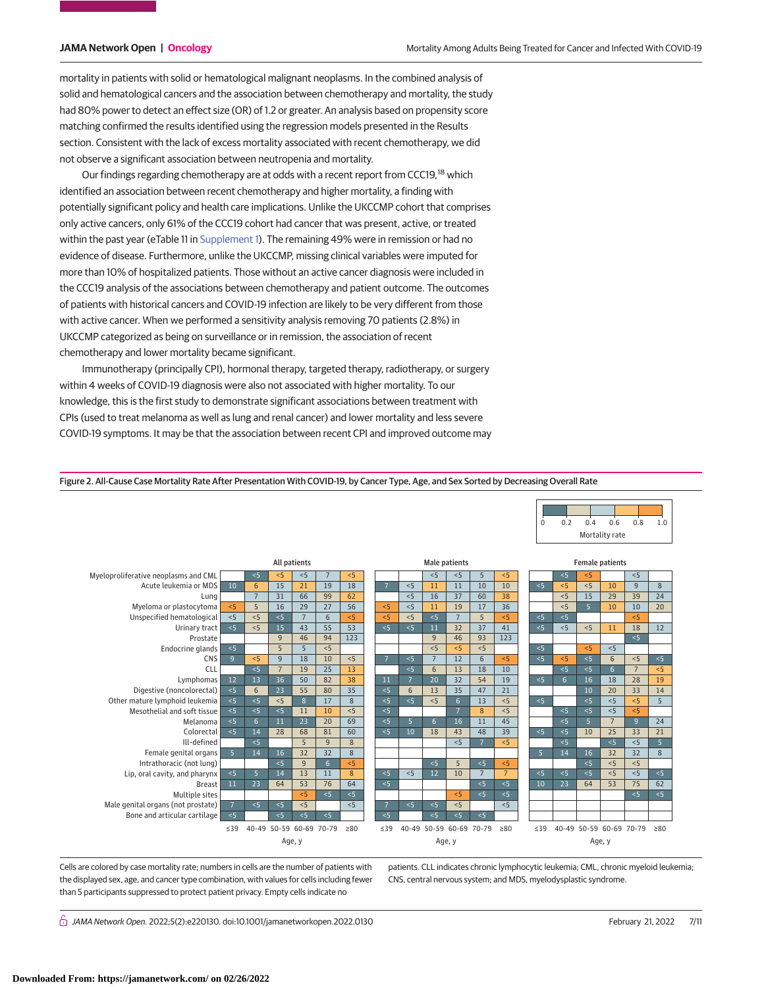mortality in patients with solid or hematological malignant neoplasms. In the combined analysis of solid and hematological cancers and the association between chemotherapy and mortality, the study had 80% power to detect an effect size (OR) of 1.2 or greater. An analysis based on propensity score matching confirmed the results identified using the regression models presented in the Results section. Consistent with the lack of excess mortality associated with recent chemotherapy, we did not observe a significant association between neutropenia and mortality.

Our findings regarding chemotherapy are at odds with a recent report from CCC19,<sup>18</sup> which identified an association between recent chemotherapy and higher mortality, a finding with potentially significant policy and health care implications. Unlike the UKCCMP cohort that comprises only active cancers, only 61% of the CCC19 cohort had cancer that was present, active, or treated within the past year (eTable 11 in [Supplement 1\)](https://jama.jamanetwork.com/article.aspx?doi=10.1001/jamanetworkopen.2022.0130&utm_campaign=articlePDF%26utm_medium=articlePDFlink%26utm_source=articlePDF%26utm_content=jamanetworkopen.2022.0130). The remaining 49% were in remission or had no evidence of disease. Furthermore, unlike the UKCCMP, missing clinical variables were imputed for more than 10% of hospitalized patients. Those without an active cancer diagnosis were included in the CCC19 analysis of the associations between chemotherapy and patient outcome. The outcomes of patients with historical cancers and COVID-19 infection are likely to be very different from those with active cancer. When we performed a sensitivity analysis removing 70 patients (2.8%) in UKCCMP categorized as being on surveillance or in remission, the association of recent chemotherapy and lower mortality became significant.

Immunotherapy (principally CPI), hormonal therapy, targeted therapy, radiotherapy, or surgery within 4 weeks of COVID-19 diagnosis were also not associated with higher mortality. To our knowledge, this is the first study to demonstrate significant associations between treatment with CPIs (used to treat melanoma as well as lung and renal cancer) and lower mortality and less severe COVID-19 symptoms. It may be that the association between recent CPI and improved outcome may



Figure 2. All-Cause Case Mortality Rate After Presentation With COVID-19, by Cancer Type, Age, and Sex Sorted by Decreasing Overall Rate

Cells are colored by case mortality rate; numbers in cells are the number of patients with the displayed sex, age, and cancer type combination, with values for cells including fewer than 5 participants suppressed to protect patient privacy. Empty cells indicate no

patients. CLL indicates chronic lymphocytic leukemia; CML, chronic myeloid leukemia; CNS, central nervous system; and MDS, myelodysplastic syndrome.

 $\stackrel{\curvearrowright}{\cap}$  JAMA Network Open. 2022;5(2):e220130. doi:10.1001/jamanetworkopen.2022.0130 (Reprinted) February 21, 2022 7/11

0 0.2 0.4 0.6 0.8 1.0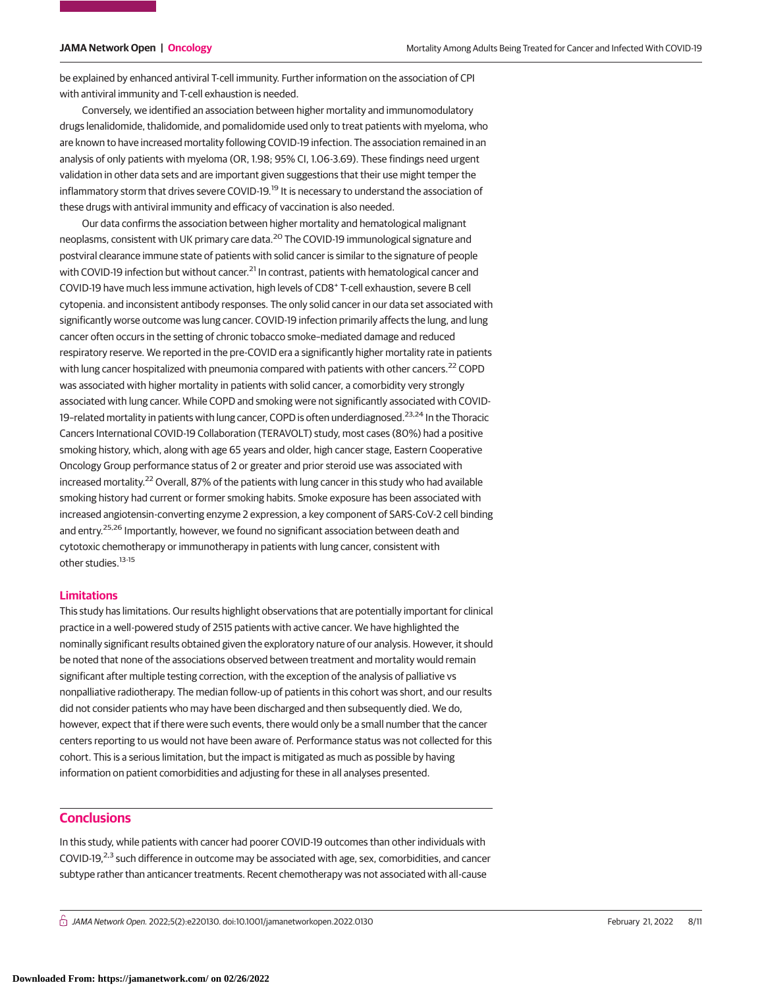be explained by enhanced antiviral T-cell immunity. Further information on the association of CPI with antiviral immunity and T-cell exhaustion is needed.

Conversely, we identified an association between higher mortality and immunomodulatory drugs lenalidomide, thalidomide, and pomalidomide used only to treat patients with myeloma, who are known to have increased mortality following COVID-19 infection. The association remained in an analysis of only patients with myeloma (OR, 1.98; 95% CI, 1.06-3.69). These findings need urgent validation in other data sets and are important given suggestions that their use might temper the inflammatory storm that drives severe COVID-19.<sup>19</sup> It is necessary to understand the association of these drugs with antiviral immunity and efficacy of vaccination is also needed.

Our data confirms the association between higher mortality and hematological malignant neoplasms, consistent with UK primary care data.<sup>20</sup> The COVID-19 immunological signature and postviral clearance immune state of patients with solid cancer is similar to the signature of people with COVID-19 infection but without cancer.<sup>21</sup> In contrast, patients with hematological cancer and COVID-19 have much less immune activation, high levels of CD8<sup>+</sup> T-cell exhaustion, severe B cell cytopenia. and inconsistent antibody responses. The only solid cancer in our data set associated with significantly worse outcome was lung cancer. COVID-19 infection primarily affects the lung, and lung cancer often occurs in the setting of chronic tobacco smoke–mediated damage and reduced respiratory reserve. We reported in the pre-COVID era a significantly higher mortality rate in patients with lung cancer hospitalized with pneumonia compared with patients with other cancers.<sup>22</sup> COPD was associated with higher mortality in patients with solid cancer, a comorbidity very strongly associated with lung cancer. While COPD and smoking were not significantly associated with COVID-19-related mortality in patients with lung cancer, COPD is often underdiagnosed.<sup>23,24</sup> In the Thoracic Cancers International COVID-19 Collaboration (TERAVOLT) study, most cases (80%) had a positive smoking history, which, along with age 65 years and older, high cancer stage, Eastern Cooperative Oncology Group performance status of 2 or greater and prior steroid use was associated with increased mortality.<sup>22</sup> Overall, 87% of the patients with lung cancer in this study who had available smoking history had current or former smoking habits. Smoke exposure has been associated with increased angiotensin-converting enzyme 2 expression, a key component of SARS-CoV-2 cell binding and entry.<sup>25,26</sup> Importantly, however, we found no significant association between death and cytotoxic chemotherapy or immunotherapy in patients with lung cancer, consistent with other studies.<sup>13-15</sup>

## **Limitations**

This study has limitations. Our results highlight observations that are potentially important for clinical practice in a well-powered study of 2515 patients with active cancer. We have highlighted the nominally significant results obtained given the exploratory nature of our analysis. However, it should be noted that none of the associations observed between treatment and mortality would remain significant after multiple testing correction, with the exception of the analysis of palliative vs nonpalliative radiotherapy. The median follow-up of patients in this cohort was short, and our results did not consider patients who may have been discharged and then subsequently died. We do, however, expect that if there were such events, there would only be a small number that the cancer centers reporting to us would not have been aware of. Performance status was not collected for this cohort. This is a serious limitation, but the impact is mitigated as much as possible by having information on patient comorbidities and adjusting for these in all analyses presented.

# **Conclusions**

In this study, while patients with cancer had poorer COVID-19 outcomes than other individuals with COVID-19, $^{2,3}$  such difference in outcome may be associated with age, sex, comorbidities, and cancer subtype rather than anticancer treatments. Recent chemotherapy was not associated with all-cause

 $\bigcap$  JAMA Network Open. 2022;5(2):e220130. doi:10.1001/jamanetworkopen.2022.0130 (Reprinted) February 21, 2022 8/11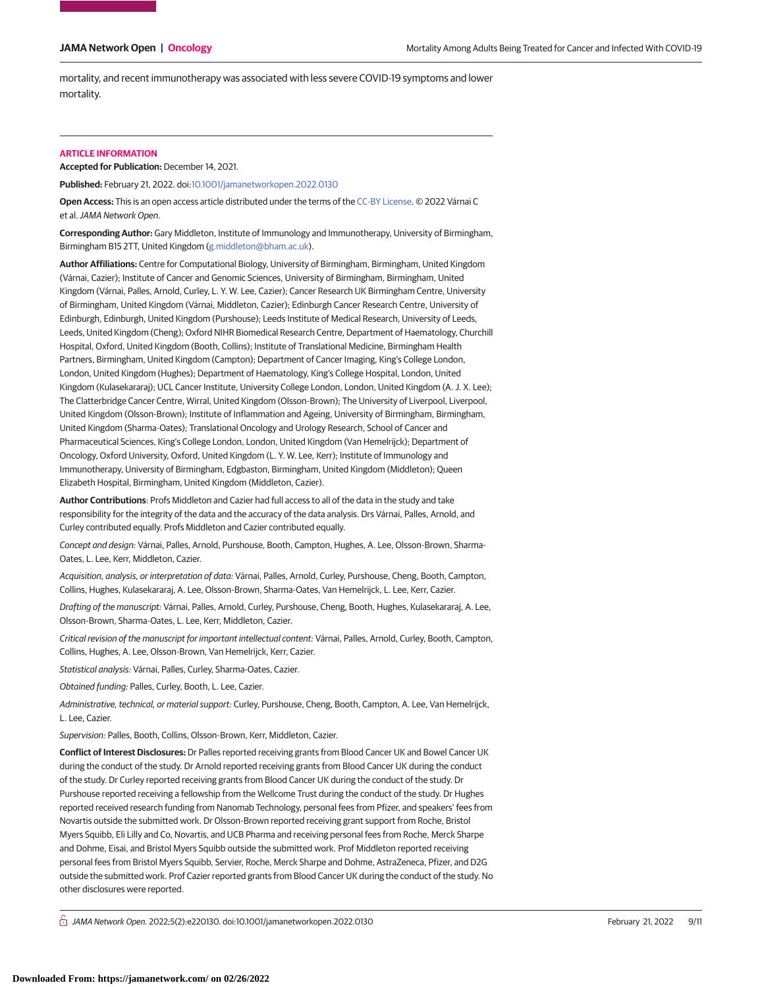mortality, and recent immunotherapy was associated with less severe COVID-19 symptoms and lower mortality.

#### **ARTICLE INFORMATION**

**Accepted for Publication:** December 14, 2021.

**Published:** February 21, 2022. doi[:10.1001/jamanetworkopen.2022.0130](https://jama.jamanetwork.com/article.aspx?doi=10.1001/jamanetworkopen.2022.0130&utm_campaign=articlePDF%26utm_medium=articlePDFlink%26utm_source=articlePDF%26utm_content=jamanetworkopen.2022.0130)

**Open Access:** This is an open access article distributed under the terms of the [CC-BY License.](https://jamanetwork.com/pages/cc-by-license-permissions/?utm_campaign=articlePDF%26utm_medium=articlePDFlink%26utm_source=articlePDF%26utm_content=jamanetworkopen.2022.0130) © 2022 Várnai C et al.JAMA Network Open.

**Corresponding Author:** Gary Middleton, Institute of Immunology and Immunotherapy, University of Birmingham, Birmingham B15 2TT, United Kingdom [\(g.middleton@bham.ac.uk\)](mailto:g.middleton@bham.ac.uk).

**Author Affiliations:** Centre for Computational Biology, University of Birmingham, Birmingham, United Kingdom (Várnai, Cazier); Institute of Cancer and Genomic Sciences, University of Birmingham, Birmingham, United Kingdom (Várnai, Palles, Arnold, Curley, L. Y. W. Lee, Cazier); Cancer Research UK Birmingham Centre, University of Birmingham, United Kingdom (Várnai, Middleton, Cazier); Edinburgh Cancer Research Centre, University of Edinburgh, Edinburgh, United Kingdom (Purshouse); Leeds Institute of Medical Research, University of Leeds, Leeds, United Kingdom (Cheng); Oxford NIHR Biomedical Research Centre, Department of Haematology, Churchill Hospital, Oxford, United Kingdom (Booth, Collins); Institute of Translational Medicine, Birmingham Health Partners, Birmingham, United Kingdom (Campton); Department of Cancer Imaging, King's College London, London, United Kingdom (Hughes); Department of Haematology, King's College Hospital, London, United Kingdom (Kulasekararaj); UCL Cancer Institute, University College London, London, United Kingdom (A. J. X. Lee); The Clatterbridge Cancer Centre, Wirral, United Kingdom (Olsson-Brown); The University of Liverpool, Liverpool, United Kingdom (Olsson-Brown); Institute of Inflammation and Ageing, University of Birmingham, Birmingham, United Kingdom (Sharma-Oates); Translational Oncology and Urology Research, School of Cancer and Pharmaceutical Sciences, King's College London, London, United Kingdom (Van Hemelrijck); Department of Oncology, Oxford University, Oxford, United Kingdom (L. Y. W. Lee, Kerr); Institute of Immunology and Immunotherapy, University of Birmingham, Edgbaston, Birmingham, United Kingdom (Middleton); Queen Elizabeth Hospital, Birmingham, United Kingdom (Middleton, Cazier).

**Author Contributions**: Profs Middleton and Cazier had full access to all of the data in the study and take responsibility for the integrity of the data and the accuracy of the data analysis. Drs Várnai, Palles, Arnold, and Curley contributed equally. Profs Middleton and Cazier contributed equally.

Concept and design: Várnai, Palles, Arnold, Purshouse, Booth, Campton, Hughes, A. Lee, Olsson-Brown, Sharma-Oates, L. Lee, Kerr, Middleton, Cazier.

Acquisition, analysis, or interpretation of data: Várnai, Palles, Arnold, Curley, Purshouse, Cheng, Booth, Campton, Collins, Hughes, Kulasekararaj, A. Lee, Olsson-Brown, Sharma-Oates, Van Hemelrijck, L. Lee, Kerr, Cazier.

Drafting of the manuscript: Várnai, Palles, Arnold, Curley, Purshouse, Cheng, Booth, Hughes, Kulasekararaj, A. Lee, Olsson-Brown, Sharma-Oates, L. Lee, Kerr, Middleton, Cazier.

Critical revision of the manuscript for important intellectual content: Várnai, Palles, Arnold, Curley, Booth, Campton, Collins, Hughes, A. Lee, Olsson-Brown, Van Hemelrijck, Kerr, Cazier.

Statistical analysis: Várnai, Palles, Curley, Sharma-Oates, Cazier.

Obtained funding: Palles, Curley, Booth, L. Lee, Cazier.

Administrative, technical, or material support: Curley, Purshouse, Cheng, Booth, Campton, A. Lee, Van Hemelrijck, L. Lee, Cazier.

Supervision: Palles, Booth, Collins, Olsson-Brown, Kerr, Middleton, Cazier.

**Conflict of Interest Disclosures:** Dr Palles reported receiving grants from Blood Cancer UK and Bowel Cancer UK during the conduct of the study. Dr Arnold reported receiving grants from Blood Cancer UK during the conduct of the study. Dr Curley reported receiving grants from Blood Cancer UK during the conduct of the study. Dr Purshouse reported receiving a fellowship from the Wellcome Trust during the conduct of the study. Dr Hughes reported received research funding from Nanomab Technology, personal fees from Pfizer, and speakers' fees from Novartis outside the submitted work. Dr Olsson-Brown reported receiving grant support from Roche, Bristol Myers Squibb, Eli Lilly and Co, Novartis, and UCB Pharma and receiving personal fees from Roche, Merck Sharpe and Dohme, Eisai, and Bristol Myers Squibb outside the submitted work. Prof Middleton reported receiving personal fees from Bristol Myers Squibb, Servier, Roche, Merck Sharpe and Dohme, AstraZeneca, Pfizer, and D2G outside the submitted work. Prof Cazier reported grants from Blood Cancer UK during the conduct of the study. No other disclosures were reported.

 $\bigcap$  JAMA Network Open. 2022;5(2):e220130. doi:10.1001/jamanetworkopen.2022.0130 (Reprinted) February 21, 2022 9/11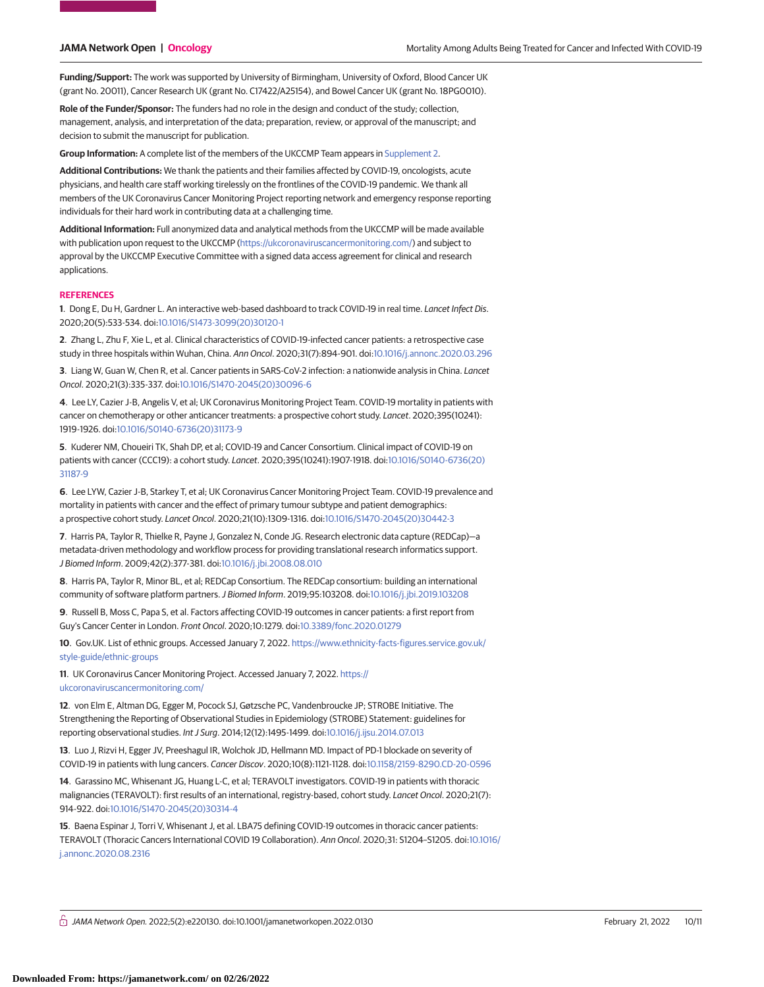**Funding/Support:** The work was supported by University of Birmingham, University of Oxford, Blood Cancer UK (grant No. 20011), Cancer Research UK (grant No. C17422/A25154), and Bowel Cancer UK (grant No. 18PG0010).

**Role of the Funder/Sponsor:** The funders had no role in the design and conduct of the study; collection, management, analysis, and interpretation of the data; preparation, review, or approval of the manuscript; and decision to submit the manuscript for publication.

**Group Information:** A complete list of the members of the UKCCMP Team appears in [Supplement 2.](https://jama.jamanetwork.com/article.aspx?doi=10.1001/jamanetworkopen.2022.0130&utm_campaign=articlePDF%26utm_medium=articlePDFlink%26utm_source=articlePDF%26utm_content=jamanetworkopen.2022.0130)

**Additional Contributions:** We thank the patients and their families affected by COVID-19, oncologists, acute physicians, and health care staff working tirelessly on the frontlines of the COVID-19 pandemic. We thank all members of the UK Coronavirus Cancer Monitoring Project reporting network and emergency response reporting individuals for their hard work in contributing data at a challenging time.

**Additional Information:** Full anonymized data and analytical methods from the UKCCMP will be made available with publication upon request to the UKCCMP [\(https://ukcoronaviruscancermonitoring.com/\)](https://ukcoronaviruscancermonitoring.com/) and subject to approval by the UKCCMP Executive Committee with a signed data access agreement for clinical and research applications.

#### **REFERENCES**

**1**. Dong E, Du H, Gardner L. An interactive web-based dashboard to track COVID-19 in real time. Lancet Infect Dis. 2020;20(5):533-534. doi[:10.1016/S1473-3099\(20\)30120-1](https://dx.doi.org/10.1016/S1473-3099(20)30120-1)

**2**. Zhang L, Zhu F, Xie L, et al. Clinical characteristics of COVID-19-infected cancer patients: a retrospective case study in three hospitals within Wuhan, China. Ann Oncol. 2020;31(7):894-901. doi[:10.1016/j.annonc.2020.03.296](https://dx.doi.org/10.1016/j.annonc.2020.03.296)

**3**. Liang W, Guan W, Chen R, et al. Cancer patients in SARS-CoV-2 infection: a nationwide analysis in China. Lancet Oncol. 2020;21(3):335-337. doi[:10.1016/S1470-2045\(20\)30096-6](https://dx.doi.org/10.1016/S1470-2045(20)30096-6)

**4**. Lee LY, Cazier J-B, Angelis V, et al; UK Coronavirus Monitoring Project Team. COVID-19 mortality in patients with cancer on chemotherapy or other anticancer treatments: a prospective cohort study. Lancet. 2020;395(10241): 1919-1926. doi[:10.1016/S0140-6736\(20\)31173-9](https://dx.doi.org/10.1016/S0140-6736(20)31173-9)

**5**. Kuderer NM, Choueiri TK, Shah DP, et al; COVID-19 and Cancer Consortium. Clinical impact of COVID-19 on patients with cancer (CCC19): a cohort study. Lancet. 2020;395(10241):1907-1918. doi[:10.1016/S0140-6736\(20\)](https://dx.doi.org/10.1016/S0140-6736(20)31187-9) [31187-9](https://dx.doi.org/10.1016/S0140-6736(20)31187-9)

**6**. Lee LYW, Cazier J-B, Starkey T, et al; UK Coronavirus Cancer Monitoring Project Team. COVID-19 prevalence and mortality in patients with cancer and the effect of primary tumour subtype and patient demographics: a prospective cohort study. Lancet Oncol. 2020;21(10):1309-1316. doi[:10.1016/S1470-2045\(20\)30442-3](https://dx.doi.org/10.1016/S1470-2045(20)30442-3)

**7**. Harris PA, Taylor R, Thielke R, Payne J, Gonzalez N, Conde JG. Research electronic data capture (REDCap)—a metadata-driven methodology and workflow process for providing translational research informatics support. J Biomed Inform. 2009;42(2):377-381. doi[:10.1016/j.jbi.2008.08.010](https://dx.doi.org/10.1016/j.jbi.2008.08.010)

**8**. Harris PA, Taylor R, Minor BL, et al; REDCap Consortium. The REDCap consortium: building an international community of software platform partners.J Biomed Inform. 2019;95:103208. doi[:10.1016/j.jbi.2019.103208](https://dx.doi.org/10.1016/j.jbi.2019.103208)

**9**. Russell B, Moss C, Papa S, et al. Factors affecting COVID-19 outcomes in cancer patients: a first report from Guy's Cancer Center in London. Front Oncol. 2020;10:1279. doi[:10.3389/fonc.2020.01279](https://dx.doi.org/10.3389/fonc.2020.01279)

**10**. Gov.UK. List of ethnic groups. Accessed January 7, 2022. [https://www.ethnicity-facts-figures.service.gov.uk/](https://www.ethnicity-facts-figures.service.gov.uk/style-guide/ethnic-groups) [style-guide/ethnic-groups](https://www.ethnicity-facts-figures.service.gov.uk/style-guide/ethnic-groups)

**11**. UK Coronavirus Cancer Monitoring Project. Accessed January 7, 2022. [https://](https://ukcoronaviruscancermonitoring.com/) [ukcoronaviruscancermonitoring.com/](https://ukcoronaviruscancermonitoring.com/)

**12**. von Elm E, Altman DG, Egger M, Pocock SJ, Gøtzsche PC, Vandenbroucke JP; STROBE Initiative. The Strengthening the Reporting of Observational Studies in Epidemiology (STROBE) Statement: guidelines for reporting observational studies. Int J Surg. 2014;12(12):1495-1499. doi[:10.1016/j.ijsu.2014.07.013](https://dx.doi.org/10.1016/j.ijsu.2014.07.013)

**13**. Luo J, Rizvi H, Egger JV, Preeshagul IR, Wolchok JD, Hellmann MD. Impact of PD-1 blockade on severity of COVID-19 in patients with lung cancers. Cancer Discov. 2020;10(8):1121-1128. doi[:10.1158/2159-8290.CD-20-0596](https://dx.doi.org/10.1158/2159-8290.CD-20-0596)

**14**. Garassino MC, Whisenant JG, Huang L-C, et al; TERAVOLT investigators. COVID-19 in patients with thoracic malignancies (TERAVOLT): first results of an international, registry-based, cohort study. Lancet Oncol. 2020;21(7): 914-922. doi[:10.1016/S1470-2045\(20\)30314-4](https://dx.doi.org/10.1016/S1470-2045(20)30314-4)

**15**. Baena Espinar J, Torri V, Whisenant J, et al. LBA75 defining COVID-19 outcomes in thoracic cancer patients: TERAVOLT (Thoracic Cancers International COVID 19 Collaboration). Ann Oncol. 2020;31: S1204–S1205. doi[:10.1016/](https://dx.doi.org/10.1016/j.annonc.2020.08.2316) [j.annonc.2020.08.2316](https://dx.doi.org/10.1016/j.annonc.2020.08.2316)

 $\bigcap$  JAMA Network Open. 2022;5(2):e220130. doi:10.1001/jamanetworkopen.2022.0130 (Reprinted) February 21, 2022 10/11